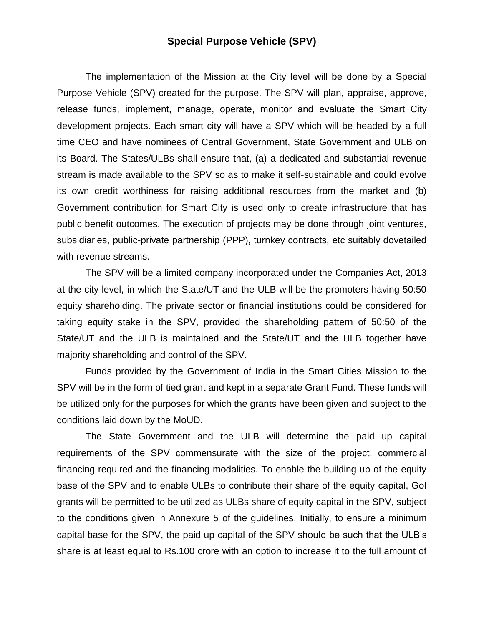### **Special Purpose Vehicle (SPV)**

The implementation of the Mission at the City level will be done by a Special Purpose Vehicle (SPV) created for the purpose. The SPV will plan, appraise, approve, release funds, implement, manage, operate, monitor and evaluate the Smart City development projects. Each smart city will have a SPV which will be headed by a full time CEO and have nominees of Central Government, State Government and ULB on its Board. The States/ULBs shall ensure that, (a) a dedicated and substantial revenue stream is made available to the SPV so as to make it self-sustainable and could evolve its own credit worthiness for raising additional resources from the market and (b) Government contribution for Smart City is used only to create infrastructure that has public benefit outcomes. The execution of projects may be done through joint ventures, subsidiaries, public-private partnership (PPP), turnkey contracts, etc suitably dovetailed with revenue streams.

The SPV will be a limited company incorporated under the Companies Act, 2013 at the city-level, in which the State/UT and the ULB will be the promoters having 50:50 equity shareholding. The private sector or financial institutions could be considered for taking equity stake in the SPV, provided the shareholding pattern of 50:50 of the State/UT and the ULB is maintained and the State/UT and the ULB together have majority shareholding and control of the SPV.

Funds provided by the Government of India in the Smart Cities Mission to the SPV will be in the form of tied grant and kept in a separate Grant Fund. These funds will be utilized only for the purposes for which the grants have been given and subject to the conditions laid down by the MoUD.

The State Government and the ULB will determine the paid up capital requirements of the SPV commensurate with the size of the project, commercial financing required and the financing modalities. To enable the building up of the equity base of the SPV and to enable ULBs to contribute their share of the equity capital, GoI grants will be permitted to be utilized as ULBs share of equity capital in the SPV, subject to the conditions given in Annexure 5 of the guidelines. Initially, to ensure a minimum capital base for the SPV, the paid up capital of the SPV should be such that the ULB's share is at least equal to Rs.100 crore with an option to increase it to the full amount of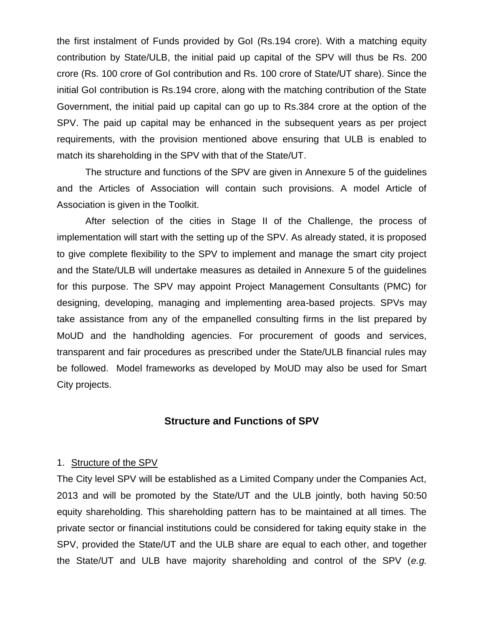the first instalment of Funds provided by GoI (Rs.194 crore). With a matching equity contribution by State/ULB, the initial paid up capital of the SPV will thus be Rs. 200 crore (Rs. 100 crore of GoI contribution and Rs. 100 crore of State/UT share). Since the initial GoI contribution is Rs.194 crore, along with the matching contribution of the State Government, the initial paid up capital can go up to Rs.384 crore at the option of the SPV. The paid up capital may be enhanced in the subsequent years as per project requirements, with the provision mentioned above ensuring that ULB is enabled to match its shareholding in the SPV with that of the State/UT.

The structure and functions of the SPV are given in Annexure 5 of the guidelines and the Articles of Association will contain such provisions. A model Article of Association is given in the Toolkit.

After selection of the cities in Stage II of the Challenge, the process of implementation will start with the setting up of the SPV. As already stated, it is proposed to give complete flexibility to the SPV to implement and manage the smart city project and the State/ULB will undertake measures as detailed in Annexure 5 of the guidelines for this purpose. The SPV may appoint Project Management Consultants (PMC) for designing, developing, managing and implementing area-based projects. SPVs may take assistance from any of the empanelled consulting firms in the list prepared by MoUD and the handholding agencies. For procurement of goods and services, transparent and fair procedures as prescribed under the State/ULB financial rules may be followed. Model frameworks as developed by MoUD may also be used for Smart City projects.

### **Structure and Functions of SPV**

#### 1. Structure of the SPV

The City level SPV will be established as a Limited Company under the Companies Act, 2013 and will be promoted by the State/UT and the ULB jointly, both having 50:50 equity shareholding. This shareholding pattern has to be maintained at all times. The private sector or financial institutions could be considered for taking equity stake in the SPV, provided the State/UT and the ULB share are equal to each other, and together the State/UT and ULB have majority shareholding and control of the SPV (*e.g.*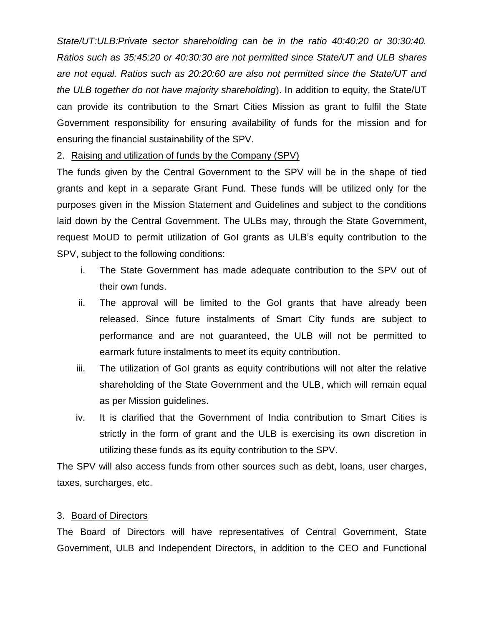*State/UT:ULB:Private sector shareholding can be in the ratio 40:40:20 or 30:30:40. Ratios such as 35:45:20 or 40:30:30 are not permitted since State/UT and ULB shares are not equal. Ratios such as 20:20:60 are also not permitted since the State/UT and the ULB together do not have majority shareholding*). In addition to equity, the State/UT can provide its contribution to the Smart Cities Mission as grant to fulfil the State Government responsibility for ensuring availability of funds for the mission and for ensuring the financial sustainability of the SPV.

2. Raising and utilization of funds by the Company (SPV)

The funds given by the Central Government to the SPV will be in the shape of tied grants and kept in a separate Grant Fund. These funds will be utilized only for the purposes given in the Mission Statement and Guidelines and subject to the conditions laid down by the Central Government. The ULBs may, through the State Government, request MoUD to permit utilization of GoI grants as ULB's equity contribution to the SPV, subject to the following conditions:

- i. The State Government has made adequate contribution to the SPV out of their own funds.
- ii. The approval will be limited to the GoI grants that have already been released. Since future instalments of Smart City funds are subject to performance and are not guaranteed, the ULB will not be permitted to earmark future instalments to meet its equity contribution.
- iii. The utilization of GoI grants as equity contributions will not alter the relative shareholding of the State Government and the ULB, which will remain equal as per Mission guidelines.
- iv. It is clarified that the Government of India contribution to Smart Cities is strictly in the form of grant and the ULB is exercising its own discretion in utilizing these funds as its equity contribution to the SPV.

The SPV will also access funds from other sources such as debt, loans, user charges, taxes, surcharges, etc.

# 3. Board of Directors

The Board of Directors will have representatives of Central Government, State Government, ULB and Independent Directors, in addition to the CEO and Functional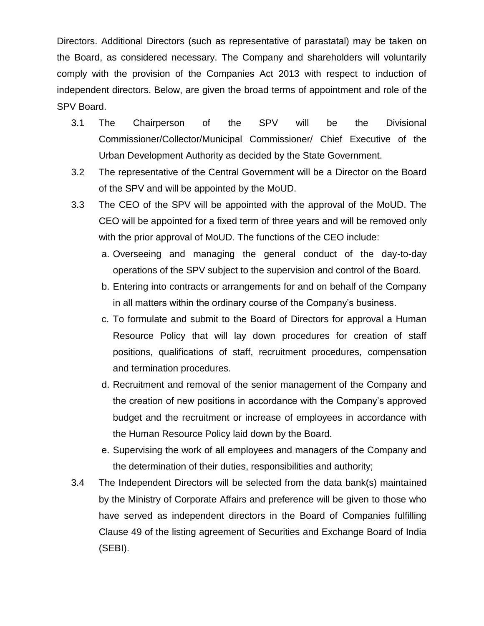Directors. Additional Directors (such as representative of parastatal) may be taken on the Board, as considered necessary. The Company and shareholders will voluntarily comply with the provision of the Companies Act 2013 with respect to induction of independent directors. Below, are given the broad terms of appointment and role of the SPV Board.

- 3.1 The Chairperson of the SPV will be the Divisional Commissioner/Collector/Municipal Commissioner/ Chief Executive of the Urban Development Authority as decided by the State Government.
- 3.2 The representative of the Central Government will be a Director on the Board of the SPV and will be appointed by the MoUD.
- 3.3 The CEO of the SPV will be appointed with the approval of the MoUD. The CEO will be appointed for a fixed term of three years and will be removed only with the prior approval of MoUD. The functions of the CEO include:
	- a. Overseeing and managing the general conduct of the day-to-day operations of the SPV subject to the supervision and control of the Board.
	- b. Entering into contracts or arrangements for and on behalf of the Company in all matters within the ordinary course of the Company's business.
	- c. To formulate and submit to the Board of Directors for approval a Human Resource Policy that will lay down procedures for creation of staff positions, qualifications of staff, recruitment procedures, compensation and termination procedures.
	- d. Recruitment and removal of the senior management of the Company and the creation of new positions in accordance with the Company's approved budget and the recruitment or increase of employees in accordance with the Human Resource Policy laid down by the Board.
	- e. Supervising the work of all employees and managers of the Company and the determination of their duties, responsibilities and authority;
- 3.4 The Independent Directors will be selected from the data bank(s) maintained by the Ministry of Corporate Affairs and preference will be given to those who have served as independent directors in the Board of Companies fulfilling Clause 49 of the listing agreement of Securities and Exchange Board of India (SEBI).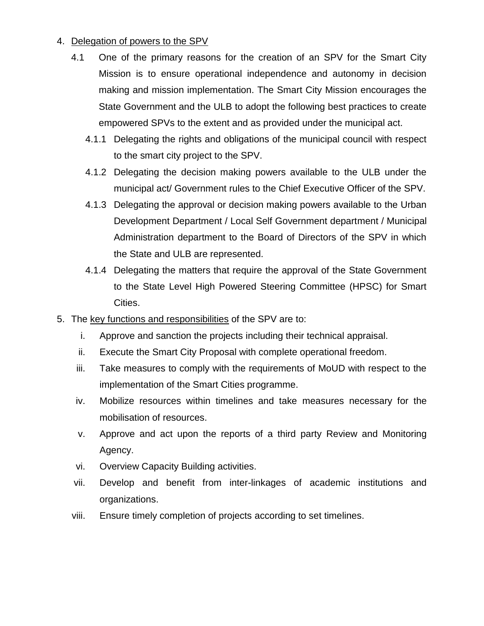# 4. Delegation of powers to the SPV

- 4.1 One of the primary reasons for the creation of an SPV for the Smart City Mission is to ensure operational independence and autonomy in decision making and mission implementation. The Smart City Mission encourages the State Government and the ULB to adopt the following best practices to create empowered SPVs to the extent and as provided under the municipal act.
	- 4.1.1 Delegating the rights and obligations of the municipal council with respect to the smart city project to the SPV.
	- 4.1.2 Delegating the decision making powers available to the ULB under the municipal act/ Government rules to the Chief Executive Officer of the SPV.
	- 4.1.3 Delegating the approval or decision making powers available to the Urban Development Department / Local Self Government department / Municipal Administration department to the Board of Directors of the SPV in which the State and ULB are represented.
	- 4.1.4 Delegating the matters that require the approval of the State Government to the State Level High Powered Steering Committee (HPSC) for Smart Cities.
- 5. The key functions and responsibilities of the SPV are to:
	- i. Approve and sanction the projects including their technical appraisal.
	- ii. Execute the Smart City Proposal with complete operational freedom.
	- iii. Take measures to comply with the requirements of MoUD with respect to the implementation of the Smart Cities programme.
	- iv. Mobilize resources within timelines and take measures necessary for the mobilisation of resources.
	- v. Approve and act upon the reports of a third party Review and Monitoring Agency.
	- vi. Overview Capacity Building activities.
	- vii. Develop and benefit from inter-linkages of academic institutions and organizations.
	- viii. Ensure timely completion of projects according to set timelines.